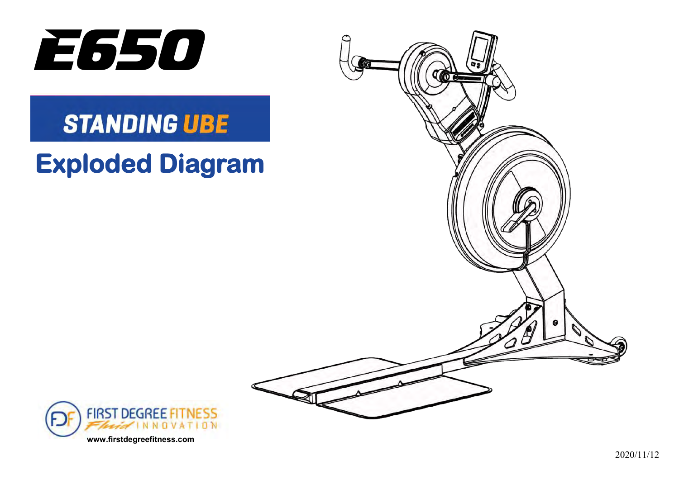

# **STANDING UBE**

# **Exploded Diagram**



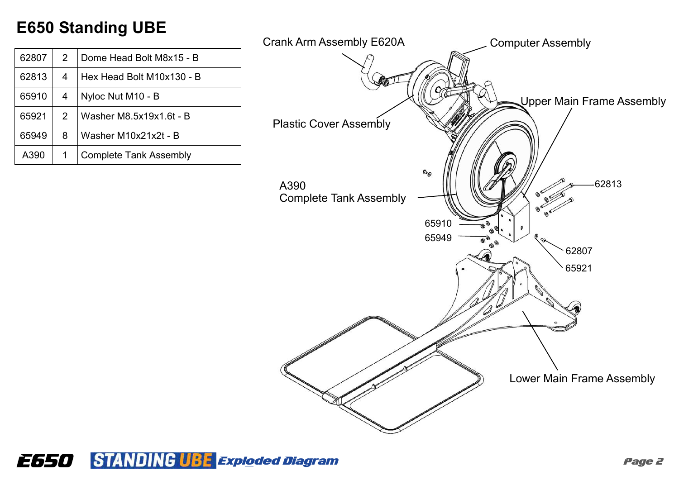# **E650 Standing UBE**

| 62807 | $\mathcal{P}$ | Dome Head Bolt M8x15 - B      |
|-------|---------------|-------------------------------|
| 62813 | 4             | Hex Head Bolt M10x130 - B     |
| 65910 | 4             | Nyloc Nut M10 - B             |
| 65921 | 2             | Washer M8.5x19x1.6t - B       |
| 65949 | 8             | Washer M10x21x2t - B          |
| A390  |               | <b>Complete Tank Assembly</b> |



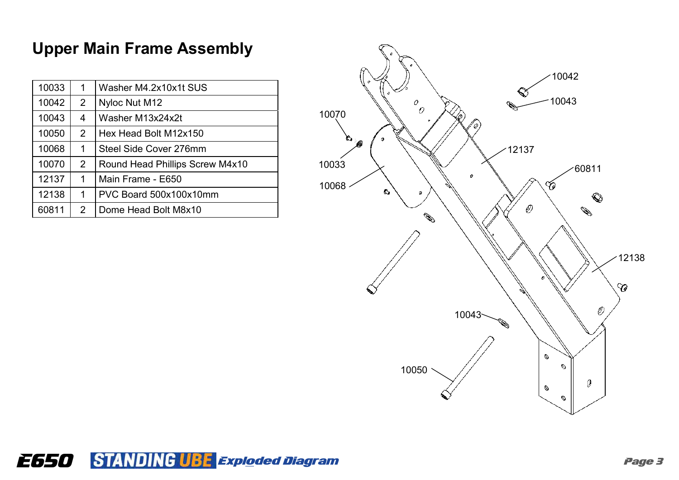### **Upper Main Frame Assembly**

| 1              | Washer M4.2x10x1t SUS           |  |  |  |
|----------------|---------------------------------|--|--|--|
| $\overline{2}$ | Nyloc Nut M12                   |  |  |  |
| 4              | Washer M13x24x2t                |  |  |  |
| $\overline{2}$ | Hex Head Bolt M12x150           |  |  |  |
| 1              | Steel Side Cover 276mm          |  |  |  |
| $\overline{2}$ | Round Head Phillips Screw M4x10 |  |  |  |
| $\mathbf 1$    | Main Frame - E650               |  |  |  |
| 1              | PVC Board 500x100x10mm          |  |  |  |
| $\overline{2}$ | Dome Head Bolt M8x10            |  |  |  |
|                |                                 |  |  |  |



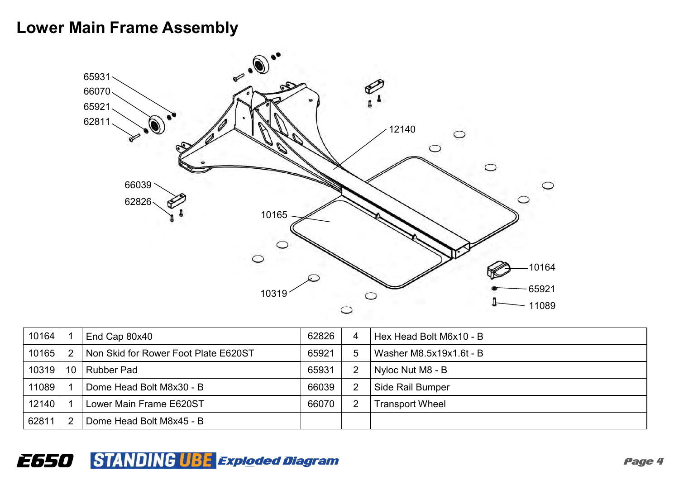#### **Lower Main Frame Assembly**



| 10164 | End Cap 80x40                        | 62826 | 4              | Hex Head Bolt M6x10 - B |
|-------|--------------------------------------|-------|----------------|-------------------------|
| 10165 | Non Skid for Rower Foot Plate E620ST | 65921 | 5.             | Washer M8.5x19x1.6t - B |
| 10319 | 10   Rubber Pad                      | 65931 |                | Nyloc Nut M8 - B        |
| 11089 | Dome Head Bolt M8x30 - B             | 66039 | $\overline{2}$ | Side Rail Bumper        |
| 12140 | Lower Main Frame E620ST              | 66070 | $\overline{2}$ | Transport Wheel         |
| 6281  | Dome Head Bolt M8x45 - B             |       |                |                         |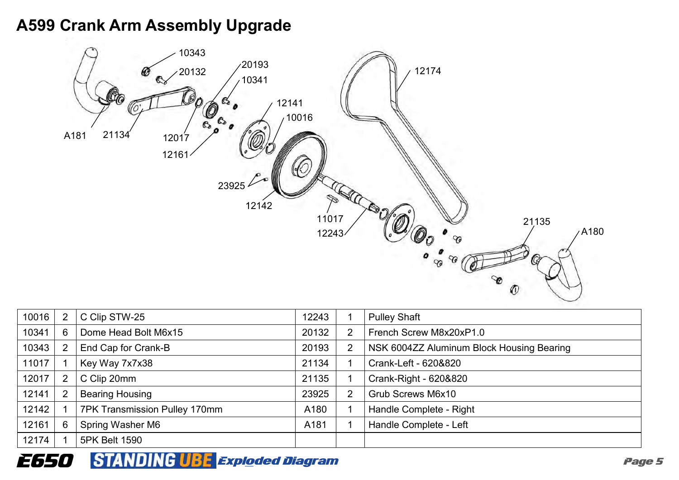#### **A599 Crank Arm Assembly Upgrade**



| 10016 |   | C Clip STW-25                 |       |                | <b>Pulley Shaft</b>                       |
|-------|---|-------------------------------|-------|----------------|-------------------------------------------|
| 10341 | 6 | Dome Head Bolt M6x15          |       | $\overline{2}$ | French Screw M8x20xP1.0                   |
| 10343 |   | End Cap for Crank-B           | 20193 | 2              | NSK 6004ZZ Aluminum Block Housing Bearing |
| 11017 |   | Key Way 7x7x38                | 21134 |                | Crank-Left - 620&820                      |
| 12017 |   | C Clip 20mm                   | 21135 |                | Crank-Right - 620&820                     |
| 12141 |   | <b>Bearing Housing</b>        | 23925 | 2              | <b>Grub Screws M6x10</b>                  |
| 12142 |   | 7PK Transmission Pulley 170mm | A180  |                | Handle Complete - Right                   |
| 12161 |   | Spring Washer M6              | A181  |                | Handle Complete - Left                    |
| 12174 |   | 5PK Belt 1590                 |       |                |                                           |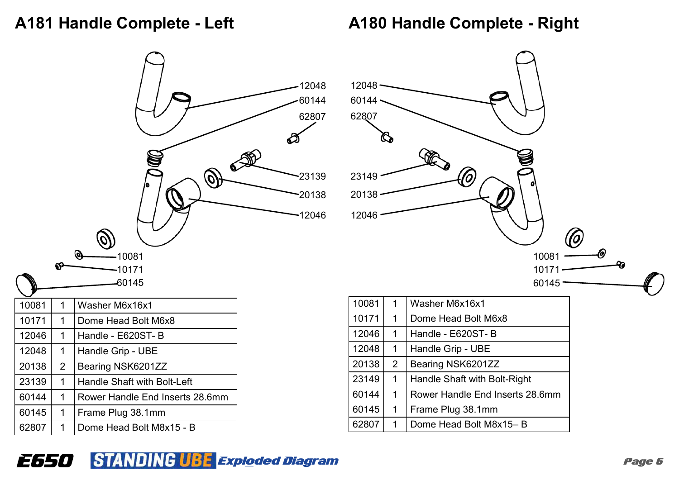#### **A181 Handle Complete - Left**

**A180 Handle Complete - Right** 





| 12048 |   | Handle Grip - UBE                   |  |  |  |
|-------|---|-------------------------------------|--|--|--|
| 20138 | 2 | Bearing NSK6201ZZ                   |  |  |  |
| 23149 | 1 | <b>Handle Shaft with Bolt-Right</b> |  |  |  |
| 60144 |   | Rower Handle End Inserts 28.6mm     |  |  |  |
| 60145 |   | Frame Plug 38.1mm                   |  |  |  |
| 62807 |   | Dome Head Bolt M8x15-B              |  |  |  |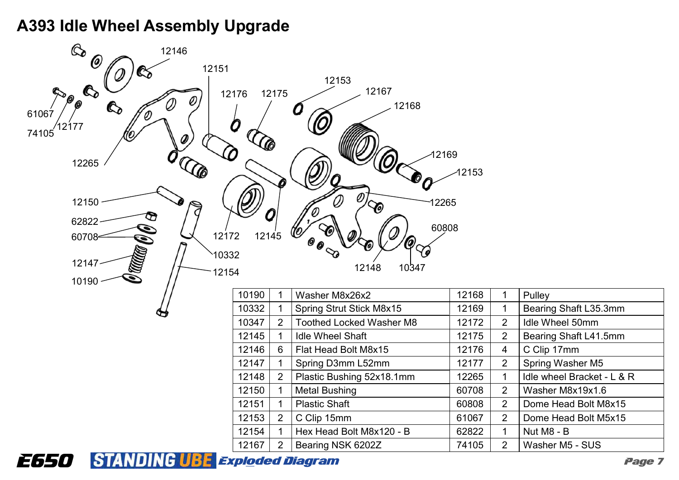#### **A393 Idle Wheel Assembly Upgrade**

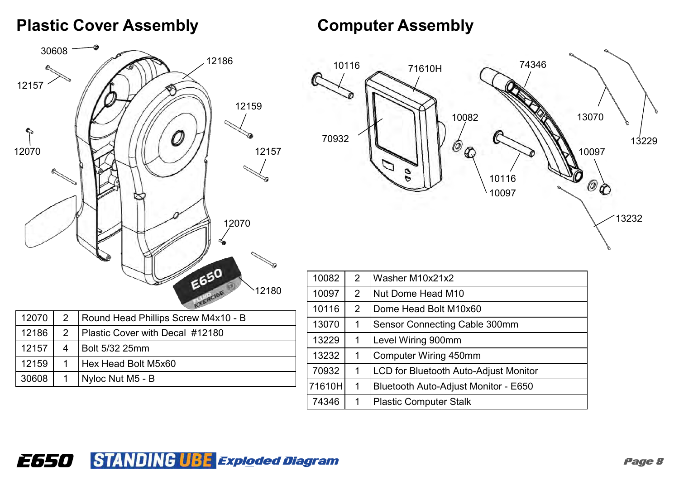#### **Plastic Cover Assembly**

#### **Computer Assembly**





| 10082  | $\overline{2}$ | Washer M10x21x2                              |
|--------|----------------|----------------------------------------------|
| 10097  | 2              | Nut Dome Head M10                            |
| 10116  | 2              | Dome Head Bolt M10x60                        |
| 13070  | 1              | <b>Sensor Connecting Cable 300mm</b>         |
| 13229  | 1              | Level Wiring 900mm                           |
| 13232  | 1              | <b>Computer Wiring 450mm</b>                 |
| 70932  | 1              | <b>LCD for Bluetooth Auto-Adjust Monitor</b> |
| 71610H | 1              | Bluetooth Auto-Adjust Monitor - E650         |
| 74346  | 1              | <b>Plastic Computer Stalk</b>                |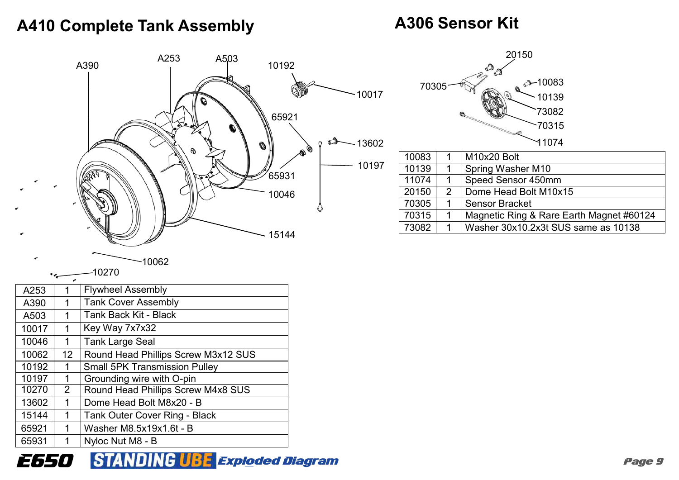# A410 Complete Tank Assembly **A306 Sensor Kit**

|      | A253  | A503 |                               |       |       |   | 20150                                    |
|------|-------|------|-------------------------------|-------|-------|---|------------------------------------------|
| A390 |       |      | 10192                         |       |       |   | PO                                       |
|      |       |      |                               |       | 70305 |   | $2 - 10083$                              |
|      |       |      | $\mathbb{Q}_{\mathbb{A}}$     | 10017 |       |   | 10139                                    |
|      |       |      | 65921                         |       |       |   | 73082                                    |
|      |       |      |                               |       |       |   | $-70315$                                 |
|      | O)    |      | Ø<br>$\mathcal{P}_{\bigcirc}$ | 13602 |       |   | 11074                                    |
|      |       |      |                               |       | 10083 |   | M10x20 Bolt                              |
|      |       |      |                               | 10197 | 10139 |   | Spring Washer M10                        |
|      |       |      | 65931                         |       | 11074 |   | Speed Sensor 450mm                       |
|      |       |      | 10046                         |       | 20150 | 2 | Dome Head Bolt M10x15                    |
|      |       |      |                               |       | 70305 |   | <b>Sensor Bracket</b>                    |
|      |       |      |                               |       | 70315 |   | Magnetic Ring & Rare Earth Magnet #60124 |
|      |       |      |                               |       | 73082 |   | Washer 30x10.2x3t SUS same as 10138      |
|      |       |      | 15144                         |       |       |   |                                          |
|      |       |      |                               |       |       |   |                                          |
|      | 10062 |      |                               |       |       |   |                                          |

|       | 20150                                            |                         |                         |  |  |  |  |
|-------|--------------------------------------------------|-------------------------|-------------------------|--|--|--|--|
|       |                                                  |                         |                         |  |  |  |  |
|       | -10083<br>70305                                  |                         |                         |  |  |  |  |
|       |                                                  |                         | 10139                   |  |  |  |  |
|       |                                                  |                         | 73082                   |  |  |  |  |
|       |                                                  |                         | 70315                   |  |  |  |  |
|       | 11074                                            |                         |                         |  |  |  |  |
| 10083 |                                                  | 1                       | M <sub>10x20</sub> Bolt |  |  |  |  |
| 10139 |                                                  | 1                       | Spring Washer M10       |  |  |  |  |
| 11074 |                                                  | Speed Sensor 450mm<br>1 |                         |  |  |  |  |
|       | $\overline{2}$<br>20150<br>Dome Head Bolt M10x15 |                         |                         |  |  |  |  |
|       | 70305<br>1<br><b>Sensor Bracket</b>              |                         |                         |  |  |  |  |

| <b>Tank Cover Assembly</b> |  |  |  |
|----------------------------|--|--|--|
| Tank Back Kit - Black      |  |  |  |
| Key Way 7x7x32             |  |  |  |
| <b>Tank Large Seal</b>     |  |  |  |
|                            |  |  |  |
|                            |  |  |  |
|                            |  |  |  |
|                            |  |  |  |
|                            |  |  |  |
|                            |  |  |  |
|                            |  |  |  |
|                            |  |  |  |
|                            |  |  |  |

 $-10270$ 

 $\bullet$ 

E650 Exploded Diagram Page 9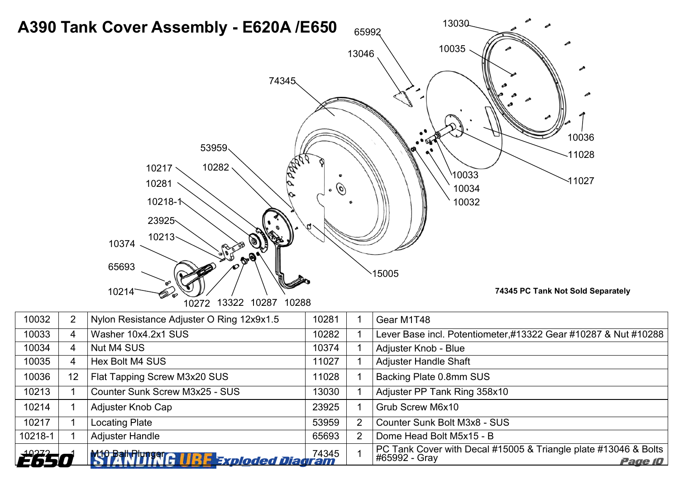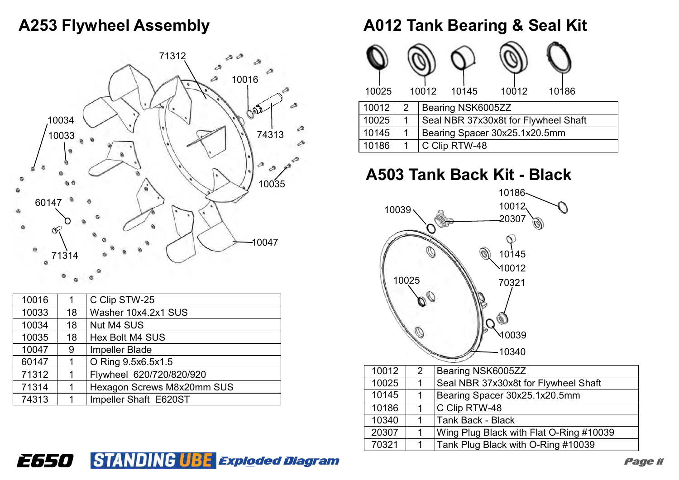#### **A253 Flywheel Assembly**



| 10016 | 1  | C Clip STW-25              |  |  |  |
|-------|----|----------------------------|--|--|--|
| 10033 | 18 | Washer 10x4.2x1 SUS        |  |  |  |
| 10034 | 18 | Nut M4 SUS                 |  |  |  |
| 10035 | 18 | Hex Bolt M4 SUS            |  |  |  |
| 10047 | 9  | <b>Impeller Blade</b>      |  |  |  |
| 60147 | 1  | O Ring 9.5x6.5x1.5         |  |  |  |
| 71312 | 1  | Flywheel 620/720/820/920   |  |  |  |
| 71314 | 1  | Hexagon Screws M8x20mm SUS |  |  |  |
| 74313 | 1  | Impeller Shaft E620ST      |  |  |  |

### **A012 Tank Bearing & Seal Kit**

| 10025 |                | 10012                                | 10145                         | 10012 | 10186 |  |  |
|-------|----------------|--------------------------------------|-------------------------------|-------|-------|--|--|
| 10012 | $\overline{2}$ |                                      | Bearing NSK6005ZZ             |       |       |  |  |
| 10025 | 1              | Seal NBR 37x30x8t for Flywheel Shaft |                               |       |       |  |  |
| 10145 | 1              |                                      | Bearing Spacer 30x25.1x20.5mm |       |       |  |  |
| 10186 | 1              |                                      | C Clip RTW-48                 |       |       |  |  |

#### **A503 Tank Back Kit - Black**



| 10012 | $\mathcal{P}$ | Bearing NSK6005ZZ                       |  |  |  |
|-------|---------------|-----------------------------------------|--|--|--|
| 10025 | 1             | Seal NBR 37x30x8t for Flywheel Shaft    |  |  |  |
| 10145 |               | Bearing Spacer 30x25.1x20.5mm           |  |  |  |
| 10186 |               | C Clip RTW-48                           |  |  |  |
| 10340 |               | Tank Back - Black                       |  |  |  |
| 20307 |               | Wing Plug Black with Flat O-Ring #10039 |  |  |  |
| 70321 |               | Tank Plug Black with O-Ring #10039      |  |  |  |

#### E650 STANDING UBE Exploded Diagram No. 2008 2014 12:35 Page 11